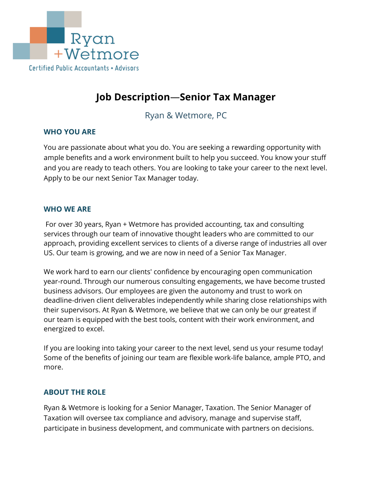

# **Job Description**—**Senior Tax Manager**

Ryan & Wetmore, PC

## **WHO YOU ARE**

You are passionate about what you do. You are seeking a rewarding opportunity with ample benefits and a work environment built to help you succeed. You know your stuff and you are ready to teach others. You are looking to take your career to the next level. Apply to be our next Senior Tax Manager today.

#### **WHO WE ARE**

For over 30 years, Ryan + Wetmore has provided accounting, tax and consulting services through our team of innovative thought leaders who are committed to our approach, providing excellent services to clients of a diverse range of industries all over US. Our team is growing, and we are now in need of a Senior Tax Manager.

We work hard to earn our clients' confidence by encouraging open communication year-round. Through our numerous consulting engagements, we have become trusted business advisors. Our employees are given the autonomy and trust to work on deadline-driven client deliverables independently while sharing close relationships with their supervisors. At Ryan & Wetmore, we believe that we can only be our greatest if our team is equipped with the best tools, content with their work environment, and energized to excel.

If you are looking into taking your career to the next level, send us your resume today! Some of the benefits of joining our team are flexible work-life balance, ample PTO, and more.

## **ABOUT THE ROLE**

Ryan & Wetmore is looking for a Senior Manager, Taxation. The Senior Manager of Taxation will oversee tax compliance and advisory, manage and supervise staff, participate in business development, and communicate with partners on decisions.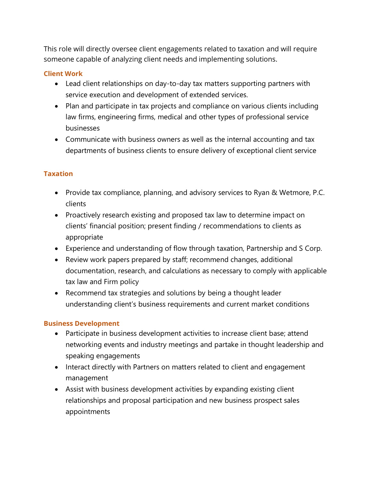This role will directly oversee client engagements related to taxation and will require someone capable of analyzing client needs and implementing solutions.

#### **Client Work**

- Lead client relationships on day-to-day tax matters supporting partners with service execution and development of extended services.
- Plan and participate in tax projects and compliance on various clients including law firms, engineering firms, medical and other types of professional service businesses
- Communicate with business owners as well as the internal accounting and tax departments of business clients to ensure delivery of exceptional client service

#### **Taxation**

- Provide tax compliance, planning, and advisory services to Ryan & Wetmore, P.C. clients
- Proactively research existing and proposed tax law to determine impact on clients' financial position; present finding / recommendations to clients as appropriate
- Experience and understanding of flow through taxation, Partnership and S Corp.
- Review work papers prepared by staff; recommend changes, additional documentation, research, and calculations as necessary to comply with applicable tax law and Firm policy
- Recommend tax strategies and solutions by being a thought leader understanding client's business requirements and current market conditions

#### **Business Development**

- Participate in business development activities to increase client base; attend networking events and industry meetings and partake in thought leadership and speaking engagements
- Interact directly with Partners on matters related to client and engagement management
- Assist with business development activities by expanding existing client relationships and proposal participation and new business prospect sales appointments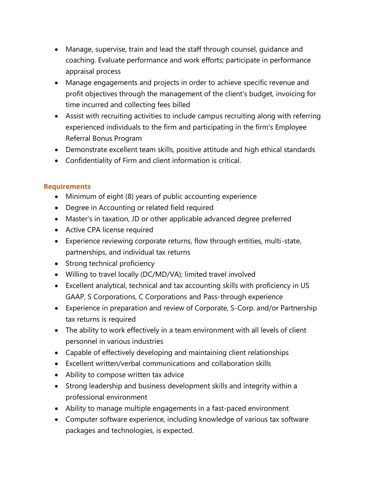- Manage, supervise, train and lead the staff through counsel, guidance and coaching. Evaluate performance and work efforts; participate in performance appraisal process
- Manage engagements and projects in order to achieve specific revenue and profit objectives through the management of the client's budget, invoicing for time incurred and collecting fees billed
- Assist with recruiting activities to include campus recruiting along with referring experienced individuals to the firm and participating in the firm's Employee Referral Bonus Program
- Demonstrate excellent team skills, positive attitude and high ethical standards
- Confidentiality of Firm and client information is critical.

## **Requirements**

- Minimum of eight (8) years of public accounting experience
- Degree in Accounting or related field required
- Master's in taxation, JD or other applicable advanced degree preferred
- Active CPA license required
- Experience reviewing corporate returns, flow through entities, multi-state, partnerships, and individual tax returns
- Strong technical proficiency
- Willing to travel locally (DC/MD/VA); limited travel involved
- Excellent analytical, technical and tax accounting skills with proficiency in US GAAP, S Corporations, C Corporations and Pass-through experience
- Experience in preparation and review of Corporate, S-Corp. and/or Partnership tax returns is required
- The ability to work effectively in a team environment with all levels of client personnel in various industries
- Capable of effectively developing and maintaining client relationships
- Excellent written/verbal communications and collaboration skills
- Ability to compose written tax advice
- Strong leadership and business development skills and integrity within a professional environment
- Ability to manage multiple engagements in a fast-paced environment
- Computer software experience, including knowledge of various tax software packages and technologies, is expected.